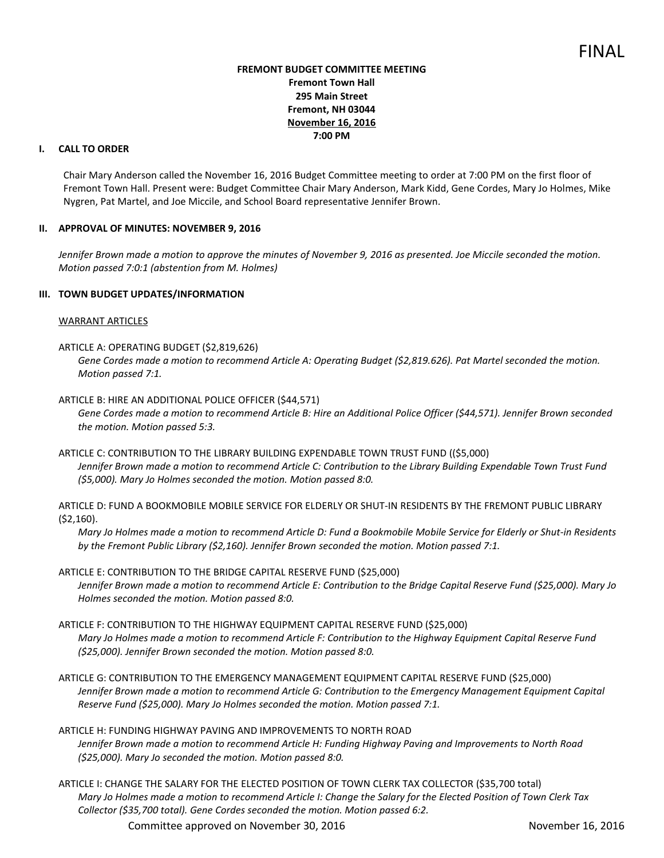### **FREMONT BUDGET COMMITTEE MEETING Fremont Town Hall 295 Main Street Fremont, NH 03044 November 16, 2016 7:00 PM**

## **I. CALL TO ORDER**

Chair Mary Anderson called the November 16, 2016 Budget Committee meeting to order at 7:00 PM on the first floor of Fremont Town Hall. Present were: Budget Committee Chair Mary Anderson, Mark Kidd, Gene Cordes, Mary Jo Holmes, Mike Nygren, Pat Martel, and Joe Miccile, and School Board representative Jennifer Brown.

### **II. APPROVAL OF MINUTES: NOVEMBER 9, 2016**

Jennifer Brown made a motion to approve the minutes of November 9, 2016 as presented. Joe Miccile seconded the motion. *Motion passed 7:0:1 (abstention from M. Holmes)* 

### **III. TOWN BUDGET UPDATES/INFORMATION**

### WARRANT ARTICLES

ARTICLE A: OPERATING BUDGET (\$2,819,626)

*Gene Cordes made a motion to recommend Article A: Operating Budget (\$2,819.626). Pat Martel seconded the motion. Motion passed 7:1.* 

- ARTICLE B: HIRE AN ADDITIONAL POLICE OFFICER (\$44,571) *Gene Cordes made a motion to recommend Article B: Hire an Additional Police Officer (\$44,571). Jennifer Brown seconded the motion. Motion passed 5:3.*
- ARTICLE C: CONTRIBUTION TO THE LIBRARY BUILDING EXPENDABLE TOWN TRUST FUND ((\$5,000) *Jennifer Brown made a motion to recommend Article C: Contribution to the Library Building Expendable Town Trust Fund (\$5,000). Mary Jo Holmes seconded the motion. Motion passed 8:0.*

ARTICLE D: FUND A BOOKMOBILE MOBILE SERVICE FOR ELDERLY OR SHUT-IN RESIDENTS BY THE FREMONT PUBLIC LIBRARY (\$2,160).

*Mary Jo Holmes made a motion to recommend Article D: Fund a Bookmobile Mobile Service for Elderly or Shut-in Residents by the Fremont Public Library (\$2,160). Jennifer Brown seconded the motion. Motion passed 7:1.* 

# ARTICLE E: CONTRIBUTION TO THE BRIDGE CAPITAL RESERVE FUND (\$25,000)

*Jennifer Brown made a motion to recommend Article E: Contribution to the Bridge Capital Reserve Fund (\$25,000). Mary Jo Holmes seconded the motion. Motion passed 8:0.* 

ARTICLE F: CONTRIBUTION TO THE HIGHWAY EQUIPMENT CAPITAL RESERVE FUND (\$25,000) *Mary Jo Holmes made a motion to recommend Article F: Contribution to the Highway Equipment Capital Reserve Fund (\$25,000). Jennifer Brown seconded the motion. Motion passed 8:0.* 

ARTICLE G: CONTRIBUTION TO THE EMERGENCY MANAGEMENT EQUIPMENT CAPITAL RESERVE FUND (\$25,000) *Jennifer Brown made a motion to recommend Article G: Contribution to the Emergency Management Equipment Capital Reserve Fund (\$25,000). Mary Jo Holmes seconded the motion. Motion passed 7:1.* 

ARTICLE H: FUNDING HIGHWAY PAVING AND IMPROVEMENTS TO NORTH ROAD *Jennifer Brown made a motion to recommend Article H: Funding Highway Paving and Improvements to North Road (\$25,000). Mary Jo seconded the motion. Motion passed 8:0.* 

ARTICLE I: CHANGE THE SALARY FOR THE ELECTED POSITION OF TOWN CLERK TAX COLLECTOR (\$35,700 total) *Mary Jo Holmes made a motion to recommend Article I: Change the Salary for the Elected Position of Town Clerk Tax Collector (\$35,700 total). Gene Cordes seconded the motion. Motion passed 6:2.* 

Committee approved on November 30, 2016 November 16, 2016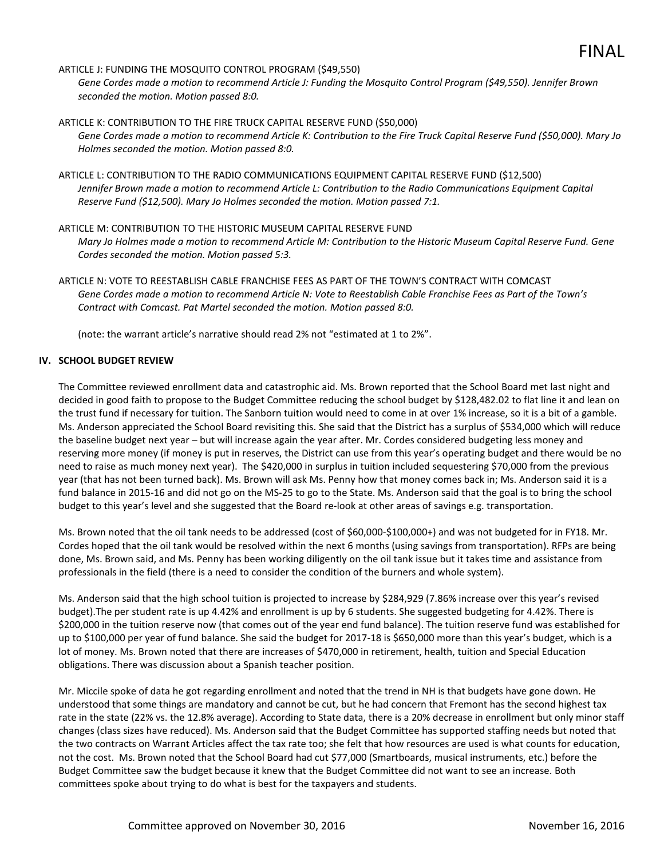# ARTICLE J: FUNDING THE MOSQUITO CONTROL PROGRAM (\$49,550)

*Gene Cordes made a motion to recommend Article J: Funding the Mosquito Control Program (\$49,550). Jennifer Brown seconded the motion. Motion passed 8:0.* 

ARTICLE K: CONTRIBUTION TO THE FIRE TRUCK CAPITAL RESERVE FUND (\$50,000) *Gene Cordes made a motion to recommend Article K: Contribution to the Fire Truck Capital Reserve Fund (\$50,000). Mary Jo Holmes seconded the motion. Motion passed 8:0.* 

ARTICLE L: CONTRIBUTION TO THE RADIO COMMUNICATIONS EQUIPMENT CAPITAL RESERVE FUND (\$12,500) *Jennifer Brown made a motion to recommend Article L: Contribution to the Radio Communications Equipment Capital Reserve Fund (\$12,500). Mary Jo Holmes seconded the motion. Motion passed 7:1.* 

### ARTICLE M: CONTRIBUTION TO THE HISTORIC MUSEUM CAPITAL RESERVE FUND

*Mary Jo Holmes made a motion to recommend Article M: Contribution to the Historic Museum Capital Reserve Fund. Gene Cordes seconded the motion. Motion passed 5:3.* 

ARTICLE N: VOTE TO REESTABLISH CABLE FRANCHISE FEES AS PART OF THE TOWN'S CONTRACT WITH COMCAST *Gene Cordes made a motion to recommend Article N: Vote to Reestablish Cable Franchise Fees as Part of the Town's Contract with Comcast. Pat Martel seconded the motion. Motion passed 8:0.* 

(note: the warrant article's narrative should read 2% not "estimated at 1 to 2%".

# **IV. SCHOOL BUDGET REVIEW**

The Committee reviewed enrollment data and catastrophic aid. Ms. Brown reported that the School Board met last night and decided in good faith to propose to the Budget Committee reducing the school budget by \$128,482.02 to flat line it and lean on the trust fund if necessary for tuition. The Sanborn tuition would need to come in at over 1% increase, so it is a bit of a gamble. Ms. Anderson appreciated the School Board revisiting this. She said that the District has a surplus of \$534,000 which will reduce the baseline budget next year – but will increase again the year after. Mr. Cordes considered budgeting less money and reserving more money (if money is put in reserves, the District can use from this year's operating budget and there would be no need to raise as much money next year). The \$420,000 in surplus in tuition included sequestering \$70,000 from the previous year (that has not been turned back). Ms. Brown will ask Ms. Penny how that money comes back in; Ms. Anderson said it is a fund balance in 2015-16 and did not go on the MS-25 to go to the State. Ms. Anderson said that the goal is to bring the school budget to this year's level and she suggested that the Board re-look at other areas of savings e.g. transportation.

Ms. Brown noted that the oil tank needs to be addressed (cost of \$60,000-\$100,000+) and was not budgeted for in FY18. Mr. Cordes hoped that the oil tank would be resolved within the next 6 months (using savings from transportation). RFPs are being done, Ms. Brown said, and Ms. Penny has been working diligently on the oil tank issue but it takes time and assistance from professionals in the field (there is a need to consider the condition of the burners and whole system).

Ms. Anderson said that the high school tuition is projected to increase by \$284,929 (7.86% increase over this year's revised budget).The per student rate is up 4.42% and enrollment is up by 6 students. She suggested budgeting for 4.42%. There is \$200,000 in the tuition reserve now (that comes out of the year end fund balance). The tuition reserve fund was established for up to \$100,000 per year of fund balance. She said the budget for 2017-18 is \$650,000 more than this year's budget, which is a lot of money. Ms. Brown noted that there are increases of \$470,000 in retirement, health, tuition and Special Education obligations. There was discussion about a Spanish teacher position.

Mr. Miccile spoke of data he got regarding enrollment and noted that the trend in NH is that budgets have gone down. He understood that some things are mandatory and cannot be cut, but he had concern that Fremont has the second highest tax rate in the state (22% vs. the 12.8% average). According to State data, there is a 20% decrease in enrollment but only minor staff changes (class sizes have reduced). Ms. Anderson said that the Budget Committee has supported staffing needs but noted that the two contracts on Warrant Articles affect the tax rate too; she felt that how resources are used is what counts for education, not the cost. Ms. Brown noted that the School Board had cut \$77,000 (Smartboards, musical instruments, etc.) before the Budget Committee saw the budget because it knew that the Budget Committee did not want to see an increase. Both committees spoke about trying to do what is best for the taxpayers and students.